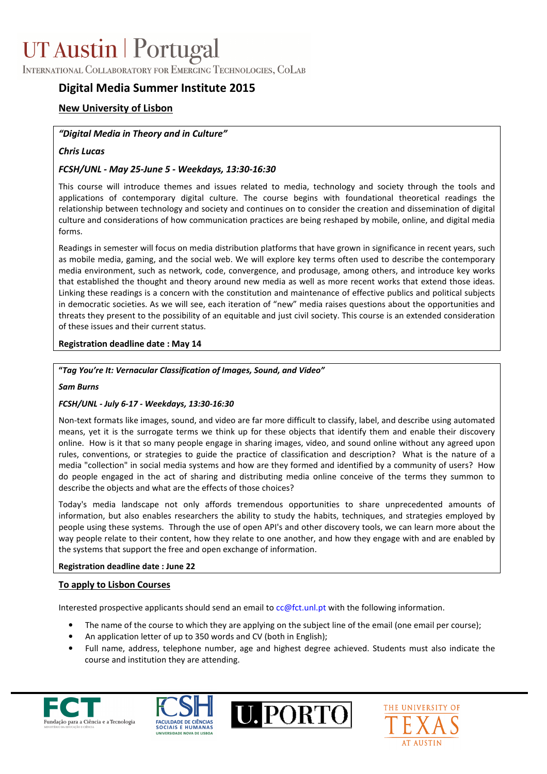# UT Austin | Portugal

INTERNATIONAL COLLABORATORY FOR EMERGING TECHNOLOGIES, COLAB

# Digital Media Summer Institute 2015

# New University of Lisbon

## "Digital Media in Theory and in Culture"

## Chris Lucas

# FCSH/UNL - May 25-June 5 - Weekdays, 13:30-16:30

This course will introduce themes and issues related to media, technology and society through the tools and applications of contemporary digital culture. The course begins with foundational theoretical readings the relationship between technology and society and continues on to consider the creation and dissemination of digital culture and considerations of how communication practices are being reshaped by mobile, online, and digital media forms.

Readings in semester will focus on media distribution platforms that have grown in significance in recent years, such as mobile media, gaming, and the social web. We will explore key terms often used to describe the contemporary media environment, such as network, code, convergence, and produsage, among others, and introduce key works that established the thought and theory around new media as well as more recent works that extend those ideas. Linking these readings is a concern with the constitution and maintenance of effective publics and political subjects in democratic societies. As we will see, each iteration of "new" media raises questions about the opportunities and threats they present to the possibility of an equitable and just civil society. This course is an extended consideration of these issues and their current status.

#### Registration deadline date : May 14

#### "Tag You're It: Vernacular Classification of Images, Sound, and Video"

#### Sam Burns

#### FCSH/UNL - July 6-17 - Weekdays, 13:30-16:30

Non-text formats like images, sound, and video are far more difficult to classify, label, and describe using automated means, yet it is the surrogate terms we think up for these objects that identify them and enable their discovery online. How is it that so many people engage in sharing images, video, and sound online without any agreed upon rules, conventions, or strategies to guide the practice of classification and description? What is the nature of a media "collection" in social media systems and how are they formed and identified by a community of users? How do people engaged in the act of sharing and distributing media online conceive of the terms they summon to describe the objects and what are the effects of those choices?

Today's media landscape not only affords tremendous opportunities to share unprecedented amounts of information, but also enables researchers the ability to study the habits, techniques, and strategies employed by people using these systems. Through the use of open API's and other discovery tools, we can learn more about the way people relate to their content, how they relate to one another, and how they engage with and are enabled by the systems that support the free and open exchange of information.

#### Registration deadline date : June 22

#### To apply to Lisbon Courses

Interested prospective applicants should send an email to cc@fct.unl.pt with the following information.

- The name of the course to which they are applying on the subject line of the email (one email per course);
- An application letter of up to 350 words and CV (both in English);
- Full name, address, telephone number, age and highest degree achieved. Students must also indicate the course and institution they are attending.